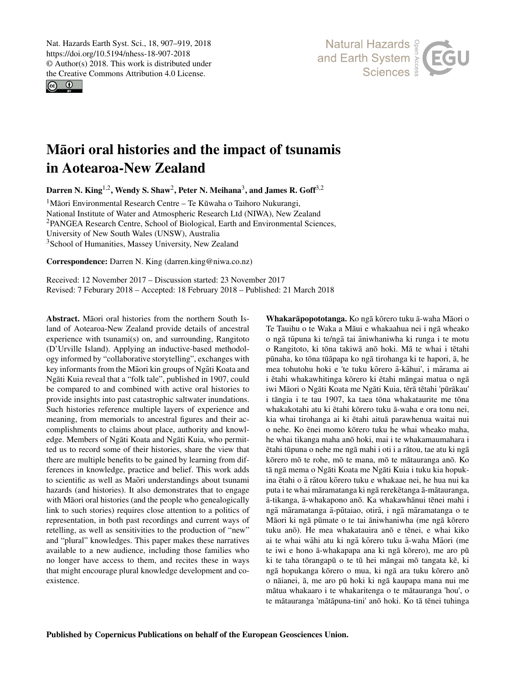<span id="page-0-1"></span>Nat. Hazards Earth Syst. Sci., 18, 907–919, 2018 https://doi.org/10.5194/nhess-18-907-2018 © Author(s) 2018. This work is distributed under the Creative Commons Attribution 4.0 License.

 $\circledcirc$ 



# Maori oral histories and the impact of tsunamis in Aotearoa-New Zealand

Darren N. King $^{1,2}$  $^{1,2}$  $^{1,2}$ , Wendy S. Shaw<sup>[2](#page-0-0)</sup>, Peter N. Meihana<sup>[3](#page-0-0)</sup>, and James R. Goff<sup>[3,2](#page-0-0)</sup>

 $1$ Māori Environmental Research Centre – Te Kūwaha o Taihoro Nukurangi, National Institute of Water and Atmospheric Research Ltd (NIWA), New Zealand <sup>2</sup>PANGEA Research Centre, School of Biological, Earth and Environmental Sciences, University of New South Wales (UNSW), Australia <sup>3</sup> School of Humanities, Massey University, New Zealand

Correspondence: Darren N. King (darren.king@niwa.co.nz)

Received: 12 November 2017 – Discussion started: 23 November 2017 Revised: 7 Feburary 2018 – Accepted: 18 February 2018 – Published: 21 March 2018

<span id="page-0-0"></span>Abstract. Māori oral histories from the northern South Island of Aotearoa-New Zealand provide details of ancestral experience with tsunami(s) on, and surrounding, Rangitoto (D'Urville Island). Applying an inductive-based methodology informed by "collaborative storytelling", exchanges with key informants from the Māori kin groups of Ngāti Koata and Ngati Kuia reveal that a "folk tale", published in 1907, could ¯ be compared to and combined with active oral histories to provide insights into past catastrophic saltwater inundations. Such histories reference multiple layers of experience and meaning, from memorials to ancestral figures and their accomplishments to claims about place, authority and knowledge. Members of Ngāti Koata and Ngāti Kuia, who permitted us to record some of their histories, share the view that there are multiple benefits to be gained by learning from differences in knowledge, practice and belief. This work adds to scientific as well as Maori understandings about tsunami hazards (and histories). It also demonstrates that to engage with Māori oral histories (and the people who genealogically link to such stories) requires close attention to a politics of representation, in both past recordings and current ways of retelling, as well as sensitivities to the production of "new" and "plural" knowledges. This paper makes these narratives available to a new audience, including those families who no longer have access to them, and recites these in ways that might encourage plural knowledge development and coexistence.

Whakarāpopototanga. Ko ngā korero tuku ā-waha Māori o Te Tauihu o te Waka a Māui e whakaahua nei i ngā wheako o ngā tūpuna ki te/ngā tai āniwhaniwha ki runga i te motu o Rangitoto, ki tōna takiwā anō hoki. Mā te whai i tētahi pūnaha, ko tōna tūāpapa ko ngā tirohanga ki te hapori, ā, he mea tohutohu hoki e 'te tuku korero ā-kāhui', i mārama ai i ētahi whakawhitinga korero ki ētahi māngai matua o ngā iwi Māori o Ngāti Koata me Ngāti Kuia, tērā tētahi 'pūrākau' i tāngia i te tau 1907, ka taea tōna whakataurite me tōna whakakotahi atu ki ētahi korero tuku ā-waha e ora tonu nei, kia whai tirohanga ai ki ētahi aituā parawhenua waitai nui o nehe. Ko ēnei momo kōrero tuku he whai wheako maha, he whai tikanga maha anō hoki, mai i te whakamaumahara i ētahi tūpuna o nehe me ngā mahi i oti i a rātou, tae atu ki ngā kōrero mō te rohe, mō te mana, mō te mātauranga anō. Ko tā ngā mema o Ngāti Koata me Ngāti Kuia i tuku kia hopukina ētahi o ā rātou kōrero tuku e whakaae nei, he hua nui ka puta i te whai māramatanga ki ngā rerekētanga ā-mātauranga, ā-tikanga, ā-whakapono anō. Ka whakawhānui tēnei mahi i ngā māramatanga ā-pūtaiao, otirā, i ngā māramatanga o te Māori ki ngā pūmate o te tai āniwhaniwha (me ngā kōrero tuku anō). He mea whakatauira anō e tēnei, e whai kiko ai te whai wāhi atu ki ngā korero tuku ā-waha Māori (me te iwi e hono ā-whakapapa ana ki ngā kōrero), me aro pū ki te taha tōrangapū o te tū hei māngai mō tangata kē, ki ngā hopukanga kōrero o mua, ki ngā ara tuku kōrero anō o nāianei, ā, me aro pū hoki ki ngā kaupapa mana nui me mātua whakaaro i te whakaritenga o te mātauranga 'hou', o te mātauranga 'mātāpuna-tini' anō hoki. Ko tā tēnei tuhinga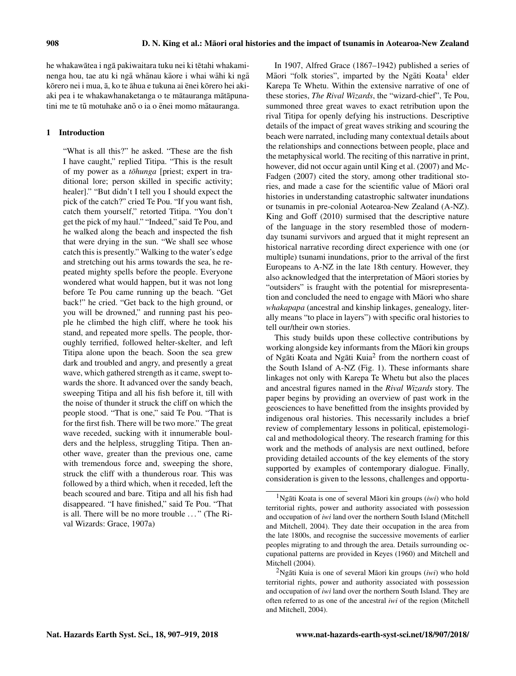he whakawātea i ngā pakiwaitara tuku nei ki tētahi whakaminenga hou, tae atu ki ngā whānau kāore i whai wāhi ki ngā kōrero nei i mua, ā, ko te āhua e tukuna ai ēnei kōrero hei akiaki pea i te whakawhanaketanga o te mātauranga mātāpunatini me te tū motuhake anō o ia o ēnei momo mātauranga.

# 1 Introduction

"What is all this?" he asked. "These are the fish I have caught," replied Titipa. "This is the result of my power as a *tōhunga* [priest; expert in traditional lore; person skilled in specific activity; healer]." "But didn't I tell you I should expect the pick of the catch?" cried Te Pou. "If you want fish, catch them yourself," retorted Titipa. "You don't get the pick of my haul." "Indeed," said Te Pou, and he walked along the beach and inspected the fish that were drying in the sun. "We shall see whose catch this is presently." Walking to the water's edge and stretching out his arms towards the sea, he repeated mighty spells before the people. Everyone wondered what would happen, but it was not long before Te Pou came running up the beach. "Get back!" he cried. "Get back to the high ground, or you will be drowned," and running past his people he climbed the high cliff, where he took his stand, and repeated more spells. The people, thoroughly terrified, followed helter-skelter, and left Titipa alone upon the beach. Soon the sea grew dark and troubled and angry, and presently a great wave, which gathered strength as it came, swept towards the shore. It advanced over the sandy beach, sweeping Titipa and all his fish before it, till with the noise of thunder it struck the cliff on which the people stood. "That is one," said Te Pou. "That is for the first fish. There will be two more." The great wave receded, sucking with it innumerable boulders and the helpless, struggling Titipa. Then another wave, greater than the previous one, came with tremendous force and, sweeping the shore, struck the cliff with a thunderous roar. This was followed by a third which, when it receded, left the beach scoured and bare. Titipa and all his fish had disappeared. "I have finished," said Te Pou. "That is all. There will be no more trouble . . . " (The Rival Wizards: Grace, 1907a)

In 1907, Alfred Grace (1867–1942) published a series of Māori "folk stories", imparted by the Ngāti Koata<sup>1</sup> elder Karepa Te Whetu. Within the extensive narrative of one of these stories, *The Rival Wizards*, the "wizard-chief", Te Pou, summoned three great waves to exact retribution upon the rival Titipa for openly defying his instructions. Descriptive details of the impact of great waves striking and scouring the beach were narrated, including many contextual details about the relationships and connections between people, place and the metaphysical world. The reciting of this narrative in print, however, did not occur again until King et al. (2007) and Mc-Fadgen (2007) cited the story, among other traditional stories, and made a case for the scientific value of Māori oral histories in understanding catastrophic saltwater inundations or tsunamis in pre-colonial Aotearoa-New Zealand (A-NZ). King and Goff (2010) surmised that the descriptive nature of the language in the story resembled those of modernday tsunami survivors and argued that it might represent an historical narrative recording direct experience with one (or multiple) tsunami inundations, prior to the arrival of the first Europeans to A-NZ in the late 18th century. However, they also acknowledged that the interpretation of Maori stories by ¯ "outsiders" is fraught with the potential for misrepresentation and concluded the need to engage with Māori who share *whakapapa* (ancestral and kinship linkages, genealogy, literally means "to place in layers") with specific oral histories to tell our/their own stories.

This study builds upon these collective contributions by working alongside key informants from the Māori kin groups of Ngāti Koata and Ngāti Kuia<sup>2</sup> from the northern coast of the South Island of A-NZ (Fig. 1). These informants share linkages not only with Karepa Te Whetu but also the places and ancestral figures named in the *Rival Wizards* story. The paper begins by providing an overview of past work in the geosciences to have benefitted from the insights provided by indigenous oral histories. This necessarily includes a brief review of complementary lessons in political, epistemological and methodological theory. The research framing for this work and the methods of analysis are next outlined, before providing detailed accounts of the key elements of the story supported by examples of contemporary dialogue. Finally, consideration is given to the lessons, challenges and opportu-

<sup>&</sup>lt;sup>1</sup>Ngāti Koata is one of several Māori kin groups  $(iwi)$  who hold territorial rights, power and authority associated with possession and occupation of *iwi* land over the northern South Island (Mitchell and Mitchell, 2004). They date their occupation in the area from the late 1800s, and recognise the successive movements of earlier peoples migrating to and through the area. Details surrounding occupational patterns are provided in Keyes (1960) and Mitchell and Mitchell (2004).

 $2$ Ngāti Kuia is one of several Māori kin groups (*iwi*) who hold territorial rights, power and authority associated with possession and occupation of *iwi* land over the northern South Island. They are often referred to as one of the ancestral *iwi* of the region (Mitchell and Mitchell, 2004).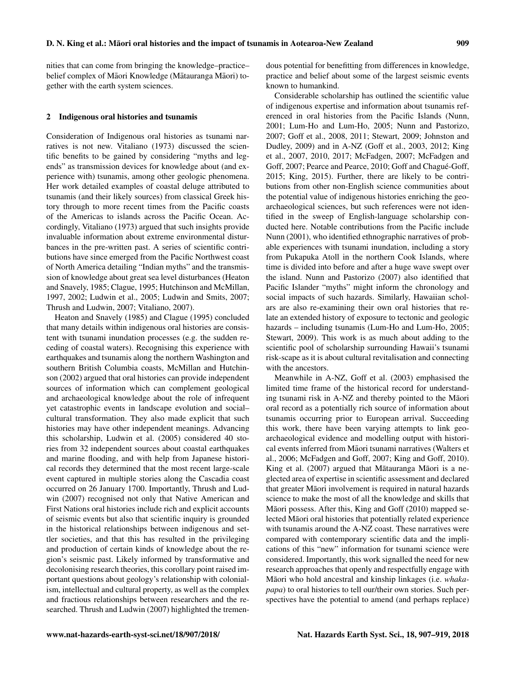nities that can come from bringing the knowledge–practice– belief complex of Māori Knowledge (Mātauranga Māori) together with the earth system sciences.

### 2 Indigenous oral histories and tsunamis

Consideration of Indigenous oral histories as tsunami narratives is not new. Vitaliano (1973) discussed the scientific benefits to be gained by considering "myths and legends" as transmission devices for knowledge about (and experience with) tsunamis, among other geologic phenomena. Her work detailed examples of coastal deluge attributed to tsunamis (and their likely sources) from classical Greek history through to more recent times from the Pacific coasts of the Americas to islands across the Pacific Ocean. Accordingly, Vitaliano (1973) argued that such insights provide invaluable information about extreme environmental disturbances in the pre-written past. A series of scientific contributions have since emerged from the Pacific Northwest coast of North America detailing "Indian myths" and the transmission of knowledge about great sea level disturbances (Heaton and Snavely, 1985; Clague, 1995; Hutchinson and McMillan, 1997, 2002; Ludwin et al., 2005; Ludwin and Smits, 2007; Thrush and Ludwin, 2007; Vitaliano, 2007).

Heaton and Snavely (1985) and Clague (1995) concluded that many details within indigenous oral histories are consistent with tsunami inundation processes (e.g. the sudden receding of coastal waters). Recognising this experience with earthquakes and tsunamis along the northern Washington and southern British Columbia coasts, McMillan and Hutchinson (2002) argued that oral histories can provide independent sources of information which can complement geological and archaeological knowledge about the role of infrequent yet catastrophic events in landscape evolution and social– cultural transformation. They also made explicit that such histories may have other independent meanings. Advancing this scholarship, Ludwin et al. (2005) considered 40 stories from 32 independent sources about coastal earthquakes and marine flooding, and with help from Japanese historical records they determined that the most recent large-scale event captured in multiple stories along the Cascadia coast occurred on 26 January 1700. Importantly, Thrush and Ludwin (2007) recognised not only that Native American and First Nations oral histories include rich and explicit accounts of seismic events but also that scientific inquiry is grounded in the historical relationships between indigenous and settler societies, and that this has resulted in the privileging and production of certain kinds of knowledge about the region's seismic past. Likely informed by transformative and decolonising research theories, this corollary point raised important questions about geology's relationship with colonialism, intellectual and cultural property, as well as the complex and fractious relationships between researchers and the researched. Thrush and Ludwin (2007) highlighted the tremendous potential for benefitting from differences in knowledge, practice and belief about some of the largest seismic events known to humankind.

Considerable scholarship has outlined the scientific value of indigenous expertise and information about tsunamis referenced in oral histories from the Pacific Islands (Nunn, 2001; Lum-Ho and Lum-Ho, 2005; Nunn and Pastorizo, 2007; Goff et al., 2008, 2011; Stewart, 2009; Johnston and Dudley, 2009) and in A-NZ (Goff et al., 2003, 2012; King et al., 2007, 2010, 2017; McFadgen, 2007; McFadgen and Goff, 2007; Pearce and Pearce, 2010; Goff and Chagué-Goff, 2015; King, 2015). Further, there are likely to be contributions from other non-English science communities about the potential value of indigenous histories enriching the geoarchaeological sciences, but such references were not identified in the sweep of English-language scholarship conducted here. Notable contributions from the Pacific include Nunn (2001), who identified ethnographic narratives of probable experiences with tsunami inundation, including a story from Pukapuka Atoll in the northern Cook Islands, where time is divided into before and after a huge wave swept over the island. Nunn and Pastorizo (2007) also identified that Pacific Islander "myths" might inform the chronology and social impacts of such hazards. Similarly, Hawaiian scholars are also re-examining their own oral histories that relate an extended history of exposure to tectonic and geologic hazards – including tsunamis (Lum-Ho and Lum-Ho, 2005; Stewart, 2009). This work is as much about adding to the scientific pool of scholarship surrounding Hawaii's tsunami risk-scape as it is about cultural revitalisation and connecting with the ancestors.

Meanwhile in A-NZ, Goff et al. (2003) emphasised the limited time frame of the historical record for understanding tsunami risk in A-NZ and thereby pointed to the Māori oral record as a potentially rich source of information about tsunamis occurring prior to European arrival. Succeeding this work, there have been varying attempts to link geoarchaeological evidence and modelling output with historical events inferred from Māori tsunami narratives (Walters et al., 2006; McFadgen and Goff, 2007; King and Goff, 2010). King et al. (2007) argued that Mātauranga Māori is a neglected area of expertise in scientific assessment and declared that greater Maori involvement is required in natural hazards ¯ science to make the most of all the knowledge and skills that Māori possess. After this, King and Goff (2010) mapped selected Māori oral histories that potentially related experience with tsunamis around the A-NZ coast. These narratives were compared with contemporary scientific data and the implications of this "new" information for tsunami science were considered. Importantly, this work signalled the need for new research approaches that openly and respectfully engage with Maori who hold ancestral and kinship linkages (i.e. *whakapapa*) to oral histories to tell our/their own stories. Such perspectives have the potential to amend (and perhaps replace)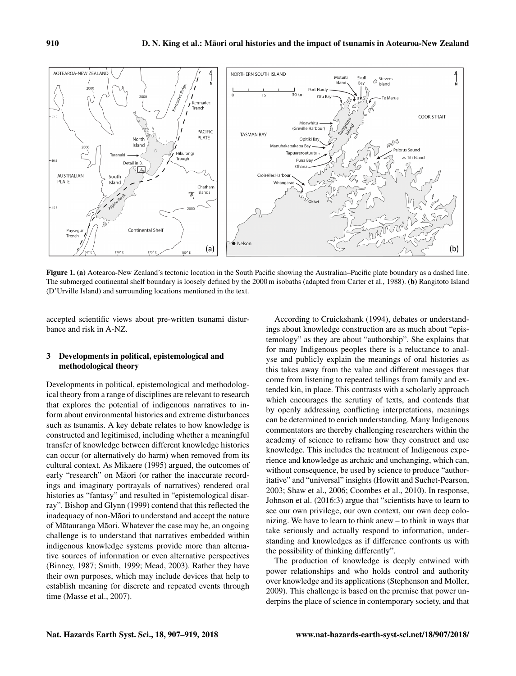

Figure 1. (a) Aotearoa-New Zealand's tectonic location in the South Pacific showing the Australian–Pacific plate boundary as a dashed line. The submerged continental shelf boundary is loosely defined by the 2000 m isobaths (adapted from Carter et al., 1988). (b) Rangitoto Island (D'Urville Island) and surrounding locations mentioned in the text.

accepted scientific views about pre-written tsunami disturbance and risk in A-NZ.

# 3 Developments in political, epistemological and methodological theory

Developments in political, epistemological and methodological theory from a range of disciplines are relevant to research that explores the potential of indigenous narratives to inform about environmental histories and extreme disturbances such as tsunamis. A key debate relates to how knowledge is constructed and legitimised, including whether a meaningful transfer of knowledge between different knowledge histories can occur (or alternatively do harm) when removed from its cultural context. As Mikaere (1995) argued, the outcomes of early "research" on Māori (or rather the inaccurate recordings and imaginary portrayals of narratives) rendered oral histories as "fantasy" and resulted in "epistemological disarray". Bishop and Glynn (1999) contend that this reflected the inadequacy of non-Maori to understand and accept the nature of Mātauranga Māori. Whatever the case may be, an ongoing challenge is to understand that narratives embedded within indigenous knowledge systems provide more than alternative sources of information or even alternative perspectives (Binney, 1987; Smith, 1999; Mead, 2003). Rather they have their own purposes, which may include devices that help to establish meaning for discrete and repeated events through time (Masse et al., 2007).

According to Cruickshank (1994), debates or understandings about knowledge construction are as much about "epistemology" as they are about "authorship". She explains that for many Indigenous peoples there is a reluctance to analyse and publicly explain the meanings of oral histories as this takes away from the value and different messages that come from listening to repeated tellings from family and extended kin, in place. This contrasts with a scholarly approach which encourages the scrutiny of texts, and contends that by openly addressing conflicting interpretations, meanings can be determined to enrich understanding. Many Indigenous commentators are thereby challenging researchers within the academy of science to reframe how they construct and use knowledge. This includes the treatment of Indigenous experience and knowledge as archaic and unchanging, which can, without consequence, be used by science to produce "authoritative" and "universal" insights (Howitt and Suchet-Pearson, 2003; Shaw et al., 2006; Coombes et al., 2010). In response, Johnson et al. (2016:3) argue that "scientists have to learn to see our own privilege, our own context, our own deep colonizing. We have to learn to think anew – to think in ways that take seriously and actually respond to information, understanding and knowledges as if difference confronts us with the possibility of thinking differently".

The production of knowledge is deeply entwined with power relationships and who holds control and authority over knowledge and its applications (Stephenson and Moller, 2009). This challenge is based on the premise that power underpins the place of science in contemporary society, and that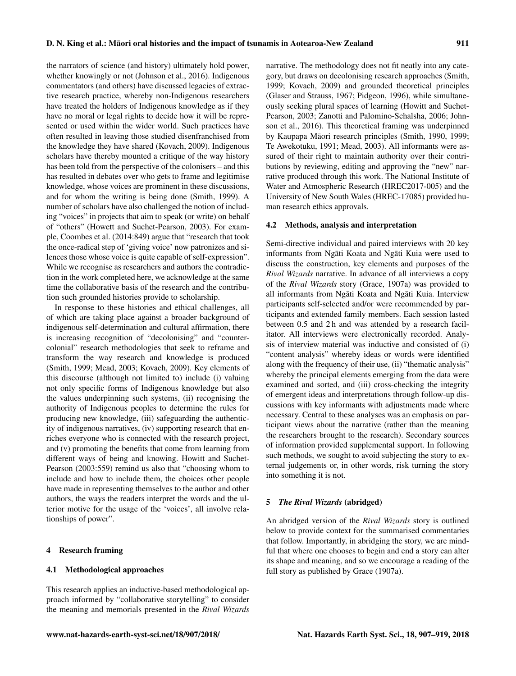the narrators of science (and history) ultimately hold power, whether knowingly or not (Johnson et al., 2016). Indigenous commentators (and others) have discussed legacies of extractive research practice, whereby non-Indigenous researchers have treated the holders of Indigenous knowledge as if they have no moral or legal rights to decide how it will be represented or used within the wider world. Such practices have often resulted in leaving those studied disenfranchised from the knowledge they have shared (Kovach, 2009). Indigenous scholars have thereby mounted a critique of the way history has been told from the perspective of the colonisers – and this has resulted in debates over who gets to frame and legitimise knowledge, whose voices are prominent in these discussions, and for whom the writing is being done (Smith, 1999). A number of scholars have also challenged the notion of including "voices" in projects that aim to speak (or write) on behalf of "others" (Howett and Suchet-Pearson, 2003). For example, Coombes et al. (2014:849) argue that "research that took the once-radical step of 'giving voice' now patronizes and silences those whose voice is quite capable of self-expression". While we recognise as researchers and authors the contradiction in the work completed here, we acknowledge at the same time the collaborative basis of the research and the contribution such grounded histories provide to scholarship.

In response to these histories and ethical challenges, all of which are taking place against a broader background of indigenous self-determination and cultural affirmation, there is increasing recognition of "decolonising" and "countercolonial" research methodologies that seek to reframe and transform the way research and knowledge is produced (Smith, 1999; Mead, 2003; Kovach, 2009). Key elements of this discourse (although not limited to) include (i) valuing not only specific forms of Indigenous knowledge but also the values underpinning such systems, (ii) recognising the authority of Indigenous peoples to determine the rules for producing new knowledge, (iii) safeguarding the authenticity of indigenous narratives, (iv) supporting research that enriches everyone who is connected with the research project, and (v) promoting the benefits that come from learning from different ways of being and knowing. Howitt and Suchet-Pearson (2003:559) remind us also that "choosing whom to include and how to include them, the choices other people have made in representing themselves to the author and other authors, the ways the readers interpret the words and the ulterior motive for the usage of the 'voices', all involve relationships of power".

# 4 Research framing

# 4.1 Methodological approaches

This research applies an inductive-based methodological approach informed by "collaborative storytelling" to consider the meaning and memorials presented in the *Rival Wizards* narrative. The methodology does not fit neatly into any category, but draws on decolonising research approaches (Smith, 1999; Kovach, 2009) and grounded theoretical principles (Glaser and Strauss, 1967; Pidgeon, 1996), while simultaneously seeking plural spaces of learning (Howitt and Suchet-Pearson, 2003; Zanotti and Palomino-Schalsha, 2006; Johnson et al., 2016). This theoretical framing was underpinned by Kaupapa Māori research principles (Smith, 1990, 1999; Te Awekotuku, 1991; Mead, 2003). All informants were assured of their right to maintain authority over their contributions by reviewing, editing and approving the "new" narrative produced through this work. The National Institute of Water and Atmospheric Research (HREC2017-005) and the University of New South Wales (HREC-17085) provided human research ethics approvals.

## 4.2 Methods, analysis and interpretation

Semi-directive individual and paired interviews with 20 key informants from Ngati Koata and Ngati Kuia were used to discuss the construction, key elements and purposes of the *Rival Wizards* narrative. In advance of all interviews a copy of the *Rival Wizards* story (Grace, 1907a) was provided to all informants from Ngati Koata and Ngati Kuia. Interview participants self-selected and/or were recommended by participants and extended family members. Each session lasted between 0.5 and 2 h and was attended by a research facilitator. All interviews were electronically recorded. Analysis of interview material was inductive and consisted of (i) "content analysis" whereby ideas or words were identified along with the frequency of their use, (ii) "thematic analysis" whereby the principal elements emerging from the data were examined and sorted, and (iii) cross-checking the integrity of emergent ideas and interpretations through follow-up discussions with key informants with adjustments made where necessary. Central to these analyses was an emphasis on participant views about the narrative (rather than the meaning the researchers brought to the research). Secondary sources of information provided supplemental support. In following such methods, we sought to avoid subjecting the story to external judgements or, in other words, risk turning the story into something it is not.

## 5 *The Rival Wizards* (abridged)

An abridged version of the *Rival Wizards* story is outlined below to provide context for the summarised commentaries that follow. Importantly, in abridging the story, we are mindful that where one chooses to begin and end a story can alter its shape and meaning, and so we encourage a reading of the full story as published by Grace (1907a).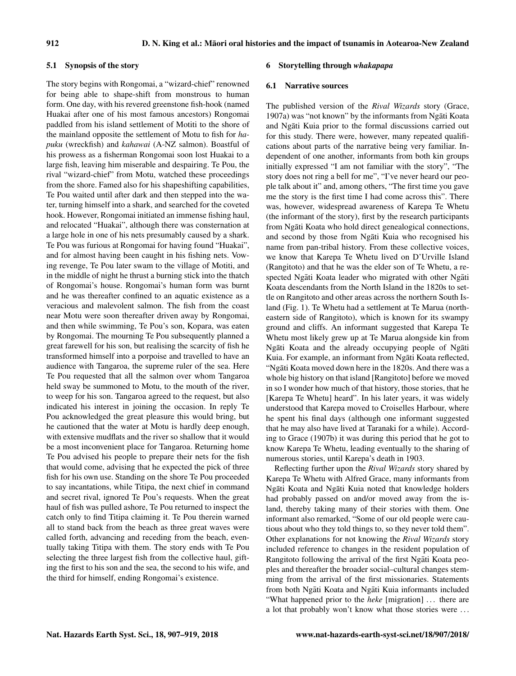## 5.1 Synopsis of the story

The story begins with Rongomai, a "wizard-chief" renowned for being able to shape-shift from monstrous to human form. One day, with his revered greenstone fish-hook (named Huakai after one of his most famous ancestors) Rongomai paddled from his island settlement of Motiti to the shore of the mainland opposite the settlement of Motu to fish for *hapuku* (wreckfish) and *kahawai* (A-NZ salmon). Boastful of his prowess as a fisherman Rongomai soon lost Huakai to a large fish, leaving him miserable and despairing. Te Pou, the rival "wizard-chief" from Motu, watched these proceedings from the shore. Famed also for his shapeshifting capabilities, Te Pou waited until after dark and then stepped into the water, turning himself into a shark, and searched for the coveted hook. However, Rongomai initiated an immense fishing haul, and relocated "Huakai", although there was consternation at a large hole in one of his nets presumably caused by a shark. Te Pou was furious at Rongomai for having found "Huakai", and for almost having been caught in his fishing nets. Vowing revenge, Te Pou later swam to the village of Motiti, and in the middle of night he thrust a burning stick into the thatch of Rongomai's house. Rongomai's human form was burnt and he was thereafter confined to an aquatic existence as a veracious and malevolent salmon. The fish from the coast near Motu were soon thereafter driven away by Rongomai, and then while swimming, Te Pou's son, Kopara, was eaten by Rongomai. The mourning Te Pou subsequently planned a great farewell for his son, but realising the scarcity of fish he transformed himself into a porpoise and travelled to have an audience with Tangaroa, the supreme ruler of the sea. Here Te Pou requested that all the salmon over whom Tangaroa held sway be summoned to Motu, to the mouth of the river, to weep for his son. Tangaroa agreed to the request, but also indicated his interest in joining the occasion. In reply Te Pou acknowledged the great pleasure this would bring, but he cautioned that the water at Motu is hardly deep enough, with extensive mudflats and the river so shallow that it would be a most inconvenient place for Tangaroa. Returning home Te Pou advised his people to prepare their nets for the fish that would come, advising that he expected the pick of three fish for his own use. Standing on the shore Te Pou proceeded to say incantations, while Titipa, the next chief in command and secret rival, ignored Te Pou's requests. When the great haul of fish was pulled ashore, Te Pou returned to inspect the catch only to find Titipa claiming it. Te Pou therein warned all to stand back from the beach as three great waves were called forth, advancing and receding from the beach, eventually taking Titipa with them. The story ends with Te Pou selecting the three largest fish from the collective haul, gifting the first to his son and the sea, the second to his wife, and the third for himself, ending Rongomai's existence.

# 6 Storytelling through *whakapapa*

## 6.1 Narrative sources

The published version of the *Rival Wizards* story (Grace, 1907a) was "not known" by the informants from Ngati Koata ¯ and Ngati Kuia prior to the formal discussions carried out ¯ for this study. There were, however, many repeated qualifications about parts of the narrative being very familiar. Independent of one another, informants from both kin groups initially expressed "I am not familiar with the story", "The story does not ring a bell for me", "I've never heard our people talk about it" and, among others, "The first time you gave me the story is the first time I had come across this". There was, however, widespread awareness of Karepa Te Whetu (the informant of the story), first by the research participants from Ngati Koata who hold direct genealogical connections, and second by those from Ngati Kuia who recognised his name from pan-tribal history. From these collective voices, we know that Karepa Te Whetu lived on D'Urville Island (Rangitoto) and that he was the elder son of Te Whetu, a respected Ngati Koata leader who migrated with other Ngati Koata descendants from the North Island in the 1820s to settle on Rangitoto and other areas across the northern South Island (Fig. 1). Te Whetu had a settlement at Te Marua (northeastern side of Rangitoto), which is known for its swampy ground and cliffs. An informant suggested that Karepa Te Whetu most likely grew up at Te Marua alongside kin from Ngāti Koata and the already occupying people of Ngāti Kuia. For example, an informant from Ngāti Koata reflected, "Ngati Koata moved down here in the 1820s. And there was a ¯ whole big history on that island [Rangitoto] before we moved in so I wonder how much of that history, those stories, that he [Karepa Te Whetu] heard". In his later years, it was widely understood that Karepa moved to Croiselles Harbour, where he spent his final days (although one informant suggested that he may also have lived at Taranaki for a while). According to Grace (1907b) it was during this period that he got to know Karepa Te Whetu, leading eventually to the sharing of numerous stories, until Karepa's death in 1903.

Reflecting further upon the *Rival Wizards* story shared by Karepa Te Whetu with Alfred Grace, many informants from Ngāti Koata and Ngāti Kuia noted that knowledge holders had probably passed on and/or moved away from the island, thereby taking many of their stories with them. One informant also remarked, "Some of our old people were cautious about who they told things to, so they never told them". Other explanations for not knowing the *Rival Wizards* story included reference to changes in the resident population of Rangitoto following the arrival of the first Ngati Koata peoples and thereafter the broader social–cultural changes stemming from the arrival of the first missionaries. Statements from both Ngati Koata and Ngati Kuia informants included "What happened prior to the *heke* [migration] ... there are a lot that probably won't know what those stories were . . .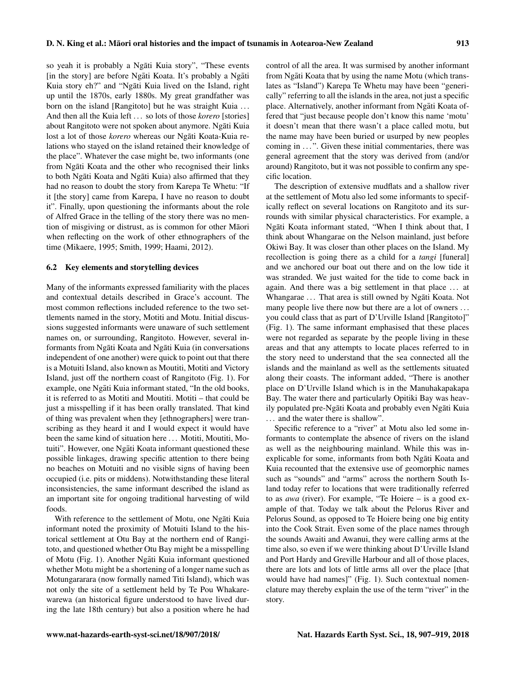so yeah it is probably a Ngati Kuia story", "These events [in the story] are before Ngati Koata. It's probably a Ngati Kuia story eh?" and "Ngati Kuia lived on the Island, right up until the 1870s, early 1880s. My great grandfather was born on the island [Rangitoto] but he was straight Kuia ... And then all the Kuia left . . . so lots of those *korero* [stories] about Rangitoto were not spoken about anymore. Ngati Kuia ¯ lost a lot of those *korero* whereas our Ngati Koata-Kuia relations who stayed on the island retained their knowledge of the place". Whatever the case might be, two informants (one from Ngati Koata and the other who recognised their links to both Ngati Koata and Ngati Kuia) also affirmed that they had no reason to doubt the story from Karepa Te Whetu: "If it [the story] came from Karepa, I have no reason to doubt it". Finally, upon questioning the informants about the role of Alfred Grace in the telling of the story there was no mention of misgiving or distrust, as is common for other Māori when reflecting on the work of other ethnographers of the time (Mikaere, 1995; Smith, 1999; Haami, 2012).

# 6.2 Key elements and storytelling devices

Many of the informants expressed familiarity with the places and contextual details described in Grace's account. The most common reflections included reference to the two settlements named in the story, Motiti and Motu. Initial discussions suggested informants were unaware of such settlement names on, or surrounding, Rangitoto. However, several informants from Ngati Koata and Ngati Kuia (in conversations independent of one another) were quick to point out that there is a Motuiti Island, also known as Moutiti, Motiti and Victory Island, just off the northern coast of Rangitoto (Fig. 1). For example, one Ngati Kuia informant stated, "In the old books, it is referred to as Motiti and Moutiti. Motiti – that could be just a misspelling if it has been orally translated. That kind of thing was prevalent when they [ethnographers] were transcribing as they heard it and I would expect it would have been the same kind of situation here ... Motiti, Moutiti, Motuiti". However, one Ngati Koata informant questioned these possible linkages, drawing specific attention to there being no beaches on Motuiti and no visible signs of having been occupied (i.e. pits or middens). Notwithstanding these literal inconsistencies, the same informant described the island as an important site for ongoing traditional harvesting of wild foods.

With reference to the settlement of Motu, one Ngati Kuia informant noted the proximity of Motuiti Island to the historical settlement at Otu Bay at the northern end of Rangitoto, and questioned whether Otu Bay might be a misspelling of Motu (Fig. 1). Another Ngati Kuia informant questioned ¯ whether Motu might be a shortening of a longer name such as Motungararara (now formally named Titi Island), which was not only the site of a settlement held by Te Pou Whakarewarewa (an historical figure understood to have lived during the late 18th century) but also a position where he had control of all the area. It was surmised by another informant from Ngati Koata that by using the name Motu (which translates as "Island") Karepa Te Whetu may have been "generically" referring to all the islands in the area, not just a specific place. Alternatively, another informant from Ngati Koata offered that "just because people don't know this name 'motu' it doesn't mean that there wasn't a place called motu, but the name may have been buried or usurped by new peoples coming in ...". Given these initial commentaries, there was general agreement that the story was derived from (and/or around) Rangitoto, but it was not possible to confirm any specific location.

The description of extensive mudflats and a shallow river at the settlement of Motu also led some informants to specifically reflect on several locations on Rangitoto and its surrounds with similar physical characteristics. For example, a Ngāti Koata informant stated, "When I think about that, I think about Whangarae on the Nelson mainland, just before Okiwi Bay. It was closer than other places on the Island. My recollection is going there as a child for a *tangi* [funeral] and we anchored our boat out there and on the low tide it was stranded. We just waited for the tide to come back in again. And there was a big settlement in that place ... at Whangarae ... That area is still owned by Ngati Koata. Not many people live there now but there are a lot of owners ... you could class that as part of D'Urville Island [Rangitoto]" (Fig. 1). The same informant emphasised that these places were not regarded as separate by the people living in these areas and that any attempts to locate places referred to in the story need to understand that the sea connected all the islands and the mainland as well as the settlements situated along their coasts. The informant added, "There is another place on D'Urville Island which is in the Manuhakapakapa Bay. The water there and particularly Opitiki Bay was heavily populated pre-Ngati Koata and probably even Ngati Kuia ... and the water there is shallow".

Specific reference to a "river" at Motu also led some informants to contemplate the absence of rivers on the island as well as the neighbouring mainland. While this was inexplicable for some, informants from both Ngati Koata and Kuia recounted that the extensive use of geomorphic names such as "sounds" and "arms" across the northern South Island today refer to locations that were traditionally referred to as *awa* (river). For example, "Te Hoiere – is a good example of that. Today we talk about the Pelorus River and Pelorus Sound, as opposed to Te Hoiere being one big entity into the Cook Strait. Even some of the place names through the sounds Awaiti and Awanui, they were calling arms at the time also, so even if we were thinking about D'Urville Island and Port Hardy and Greville Harbour and all of those places, there are lots and lots of little arms all over the place [that would have had names]" (Fig. 1). Such contextual nomenclature may thereby explain the use of the term "river" in the story.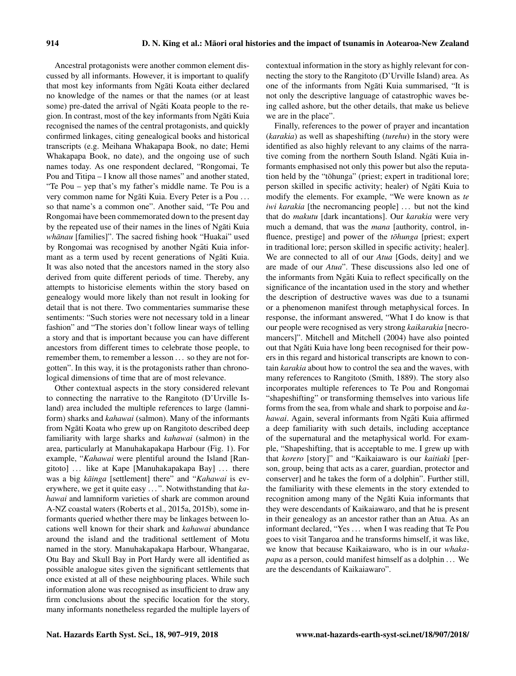Ancestral protagonists were another common element discussed by all informants. However, it is important to qualify that most key informants from Ngati Koata either declared ¯ no knowledge of the names or that the names (or at least some) pre-dated the arrival of Ngati Koata people to the region. In contrast, most of the key informants from Ngati Kuia ¯ recognised the names of the central protagonists, and quickly confirmed linkages, citing genealogical books and historical transcripts (e.g. Meihana Whakapapa Book, no date; Hemi Whakapapa Book, no date), and the ongoing use of such names today. As one respondent declared, "Rongomai, Te Pou and Titipa – I know all those names" and another stated, "Te Pou – yep that's my father's middle name. Te Pou is a very common name for Ngati Kuia. Every Peter is a Pou ... so that name's a common one". Another said, "Te Pou and Rongomai have been commemorated down to the present day by the repeated use of their names in the lines of Ngati Kuia ¯ *whānau* [families]". The sacred fishing hook "Huakai" used by Rongomai was recognised by another Ngati Kuia informant as a term used by recent generations of Ngati Kuia. It was also noted that the ancestors named in the story also derived from quite different periods of time. Thereby, any attempts to historicise elements within the story based on genealogy would more likely than not result in looking for detail that is not there. Two commentaries summarise these sentiments: "Such stories were not necessary told in a linear fashion" and "The stories don't follow linear ways of telling a story and that is important because you can have different ancestors from different times to celebrate those people, to remember them, to remember a lesson . . . so they are not forgotten". In this way, it is the protagonists rather than chronological dimensions of time that are of most relevance.

Other contextual aspects in the story considered relevant to connecting the narrative to the Rangitoto (D'Urville Island) area included the multiple references to large (lamniform) sharks and *kahawai* (salmon). Many of the informants from Ngāti Koata who grew up on Rangitoto described deep familiarity with large sharks and *kahawai* (salmon) in the area, particularly at Manuhakapakapa Harbour (Fig. 1). For example, "*Kahawai* were plentiful around the Island [Rangitoto] ... like at Kape [Manuhakapakapa Bay] ... there was a big *kāinga* [settlement] there" and "Kahawai is everywhere, we get it quite easy . . . ". Notwithstanding that *kahawai* and lamniform varieties of shark are common around A-NZ coastal waters (Roberts et al., 2015a, 2015b), some informants queried whether there may be linkages between locations well known for their shark and *kahawai* abundance around the island and the traditional settlement of Motu named in the story. Manuhakapakapa Harbour, Whangarae, Otu Bay and Skull Bay in Port Hardy were all identified as possible analogue sites given the significant settlements that once existed at all of these neighbouring places. While such information alone was recognised as insufficient to draw any firm conclusions about the specific location for the story, many informants nonetheless regarded the multiple layers of contextual information in the story as highly relevant for connecting the story to the Rangitoto (D'Urville Island) area. As one of the informants from Ngati Kuia summarised, "It is not only the descriptive language of catastrophic waves being called ashore, but the other details, that make us believe we are in the place".

Finally, references to the power of prayer and incantation (*karakia*) as well as shapeshifting (*turehu*) in the story were identified as also highly relevant to any claims of the narrative coming from the northern South Island. Ngati Kuia informants emphasised not only this power but also the reputation held by the "tohunga" (priest; expert in traditional lore; ¯ person skilled in specific activity; healer) of Ngati Kuia to ¯ modify the elements. For example, "We were known as *te iwi karakia* [the necromancing people] ... but not the kind that do *makutu* [dark incantations]. Our *karakia* were very much a demand, that was the *mana* [authority, control, influence, prestige] and power of the *tohunga* [priest; expert in traditional lore; person skilled in specific activity; healer]. We are connected to all of our *Atua* [Gods, deity] and we are made of our *Atua*". These discussions also led one of the informants from Ngati Kuia to reflect specifically on the significance of the incantation used in the story and whether the description of destructive waves was due to a tsunami or a phenomenon manifest through metaphysical forces. In response, the informant answered, "What I do know is that our people were recognised as very strong *kaikarakia* [necromancers]". Mitchell and Mitchell (2004) have also pointed out that Ngati Kuia have long been recognised for their powers in this regard and historical transcripts are known to contain *karakia* about how to control the sea and the waves, with many references to Rangitoto (Smith, 1889). The story also incorporates multiple references to Te Pou and Rongomai "shapeshifting" or transforming themselves into various life forms from the sea, from whale and shark to porpoise and *kahawai*. Again, several informants from Ngati Kuia affirmed a deep familiarity with such details, including acceptance of the supernatural and the metaphysical world. For example, "Shapeshifting, that is acceptable to me. I grew up with that *korero* [story]" and "Kaikaiawaro is our *kaitiaki* [person, group, being that acts as a carer, guardian, protector and conserver] and he takes the form of a dolphin". Further still, the familiarity with these elements in the story extended to recognition among many of the Ngati Kuia informants that they were descendants of Kaikaiawaro, and that he is present in their genealogy as an ancestor rather than an Atua. As an informant declared, "Yes . . . when I was reading that Te Pou goes to visit Tangaroa and he transforms himself, it was like, we know that because Kaikaiawaro, who is in our *whakapapa* as a person, could manifest himself as a dolphin . . . We are the descendants of Kaikaiawaro".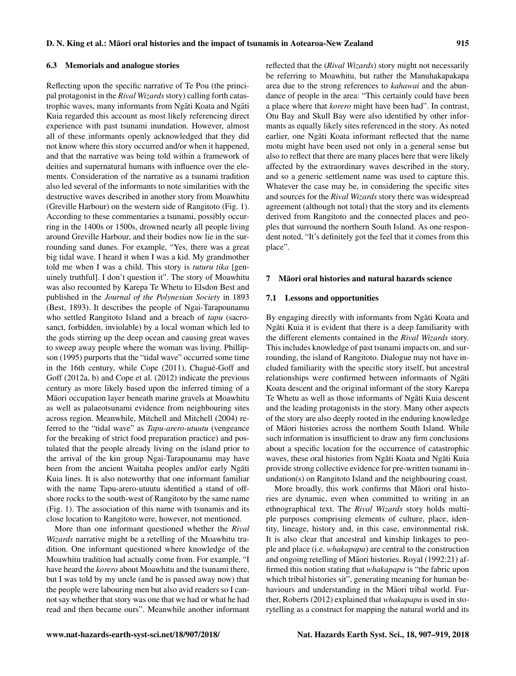#### 6.3 Memorials and analogue stories

Reflecting upon the specific narrative of Te Pou (the principal protagonist in the *Rival Wizards* story) calling forth catastrophic waves, many informants from Ngati Koata and Ngati Kuia regarded this account as most likely referencing direct experience with past tsunami inundation. However, almost all of these informants openly acknowledged that they did not know where this story occurred and/or when it happened, and that the narrative was being told within a framework of deities and supernatural humans with influence over the elements. Consideration of the narrative as a tsunami tradition also led several of the informants to note similarities with the destructive waves described in another story from Moawhitu (Greville Harbour) on the western side of Rangitoto (Fig. 1). According to these commentaries a tsunami, possibly occurring in the 1400s or 1500s, drowned nearly all people living around Greville Harbour, and their bodies now lie in the surrounding sand dunes. For example, "Yes, there was a great big tidal wave. I heard it when I was a kid. My grandmother told me when I was a child. This story is *tuturu tika* [genuinely truthful]. I don't question it". The story of Moawhitu was also recounted by Karepa Te Whetu to Elsdon Best and published in the *Journal of the Polynesian Society* in 1893 (Best, 1893). It describes the people of Ngai-Tarapounamu who settled Rangitoto Island and a breach of *tapu* (sacrosanct, forbidden, inviolable) by a local woman which led to the gods stirring up the deep ocean and causing great waves to sweep away people where the woman was living. Phillipson (1995) purports that the "tidal wave" occurred some time in the 16th century, while Cope (2011), Chagué-Goff and Goff (2012a, b) and Cope et al. (2012) indicate the previous century as more likely based upon the inferred timing of a Maori occupation layer beneath marine gravels at Moawhitu ¯ as well as palaeotsunami evidence from neighbouring sites across region. Meanwhile, Mitchell and Mitchell (2004) referred to the "tidal wave" as *Tapu-arero-utuutu* (vengeance for the breaking of strict food preparation practice) and postulated that the people already living on the island prior to the arrival of the kin group Ngai-Tarapounamu may have been from the ancient Waitaha peoples and/or early Ngati Kuia lines. It is also noteworthy that one informant familiar with the name Tapu-arero-utuutu identified a stand of offshore rocks to the south-west of Rangitoto by the same name (Fig. 1). The association of this name with tsunamis and its close location to Rangitoto were, however, not mentioned.

More than one informant questioned whether the *Rival Wizards* narrative might be a retelling of the Moawhitu tradition. One informant questioned where knowledge of the Moawhitu tradition had actually come from. For example, "I have heard the *korero* about Moawhitu and the tsunami there, but I was told by my uncle (and he is passed away now) that the people were labouring men but also avid readers so I cannot say whether that story was one that we had or what he had read and then became ours". Meanwhile another informant reflected that the (*Rival Wizards*) story might not necessarily be referring to Moawhitu, but rather the Manuhakapakapa area due to the strong references to *kahawai* and the abundance of people in the area: "This certainly could have been a place where that *korero* might have been had". In contrast, Otu Bay and Skull Bay were also identified by other informants as equally likely sites referenced in the story. As noted earlier, one Ngāti Koata informant reflected that the name motu might have been used not only in a general sense but also to reflect that there are many places here that were likely affected by the extraordinary waves described in the story, and so a generic settlement name was used to capture this. Whatever the case may be, in considering the specific sites and sources for the *Rival Wizards* story there was widespread agreement (although not total) that the story and its elements derived from Rangitoto and the connected places and peoples that surround the northern South Island. As one respondent noted, "It's definitely got the feel that it comes from this place".

## 7 Maori oral histories and natural hazards science ¯

## 7.1 Lessons and opportunities

By engaging directly with informants from Ngati Koata and Ngati Kuia it is evident that there is a deep familiarity with ¯ the different elements contained in the *Rival Wizards* story. This includes knowledge of past tsunami impacts on, and surrounding, the island of Rangitoto. Dialogue may not have included familiarity with the specific story itself, but ancestral relationships were confirmed between informants of Ngati Koata descent and the original informant of the story Karepa Te Whetu as well as those informants of Ngati Kuia descent and the leading protagonists in the story. Many other aspects of the story are also deeply rooted in the enduring knowledge of Maori histories across the northern South Island. While ¯ such information is insufficient to draw any firm conclusions about a specific location for the occurrence of catastrophic waves, these oral histories from Ngati Koata and Ngati Kuia provide strong collective evidence for pre-written tsunami inundation(s) on Rangitoto Island and the neighbouring coast.

More broadly, this work confirms that Māori oral histories are dynamic, even when committed to writing in an ethnographical text. The *Rival Wizards* story holds multiple purposes comprising elements of culture, place, identity, lineage, history and, in this case, environmental risk. It is also clear that ancestral and kinship linkages to people and place (i.e. *whakapapa*) are central to the construction and ongoing retelling of Māori histories. Royal (1992:21) affirmed this notion stating that *whakapapa* is "the fabric upon which tribal histories sit", generating meaning for human behaviours and understanding in the Māori tribal world. Further, Roberts (2012) explained that *whakapapa* is used in storytelling as a construct for mapping the natural world and its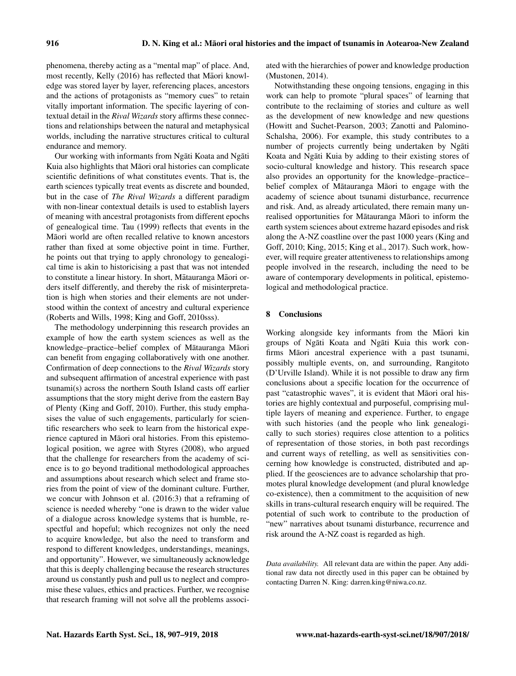phenomena, thereby acting as a "mental map" of place. And, most recently, Kelly (2016) has reflected that Maori knowledge was stored layer by layer, referencing places, ancestors and the actions of protagonists as "memory cues" to retain vitally important information. The specific layering of contextual detail in the *Rival Wizards* story affirms these connections and relationships between the natural and metaphysical worlds, including the narrative structures critical to cultural endurance and memory.

Our working with informants from Ngati Koata and Ngati Kuia also highlights that Māori oral histories can complicate scientific definitions of what constitutes events. That is, the earth sciences typically treat events as discrete and bounded, but in the case of *The Rival Wizards* a different paradigm with non-linear contextual details is used to establish layers of meaning with ancestral protagonists from different epochs of genealogical time. Tau (1999) reflects that events in the Māori world are often recalled relative to known ancestors rather than fixed at some objective point in time. Further, he points out that trying to apply chronology to genealogical time is akin to historicising a past that was not intended to constitute a linear history. In short, Mātauranga Māori orders itself differently, and thereby the risk of misinterpretation is high when stories and their elements are not understood within the context of ancestry and cultural experience (Roberts and Wills, 1998; King and Goff, 2010sss).

The methodology underpinning this research provides an example of how the earth system sciences as well as the knowledge–practice–belief complex of Mātauranga Māori can benefit from engaging collaboratively with one another. Confirmation of deep connections to the *Rival Wizards* story and subsequent affirmation of ancestral experience with past tsunami(s) across the northern South Island casts off earlier assumptions that the story might derive from the eastern Bay of Plenty (King and Goff, 2010). Further, this study emphasises the value of such engagements, particularly for scientific researchers who seek to learn from the historical experience captured in Māori oral histories. From this epistemological position, we agree with Styres (2008), who argued that the challenge for researchers from the academy of science is to go beyond traditional methodological approaches and assumptions about research which select and frame stories from the point of view of the dominant culture. Further, we concur with Johnson et al. (2016:3) that a reframing of science is needed whereby "one is drawn to the wider value of a dialogue across knowledge systems that is humble, respectful and hopeful; which recognizes not only the need to acquire knowledge, but also the need to transform and respond to different knowledges, understandings, meanings, and opportunity". However, we simultaneously acknowledge that this is deeply challenging because the research structures around us constantly push and pull us to neglect and compromise these values, ethics and practices. Further, we recognise that research framing will not solve all the problems associated with the hierarchies of power and knowledge production (Mustonen, 2014).

Notwithstanding these ongoing tensions, engaging in this work can help to promote "plural spaces" of learning that contribute to the reclaiming of stories and culture as well as the development of new knowledge and new questions (Howitt and Suchet-Pearson, 2003; Zanotti and Palomino-Schalsha, 2006). For example, this study contributes to a number of projects currently being undertaken by Ngati Koata and Ngati Kuia by adding to their existing stores of socio-cultural knowledge and history. This research space also provides an opportunity for the knowledge–practice– belief complex of Mātauranga Māori to engage with the academy of science about tsunami disturbance, recurrence and risk. And, as already articulated, there remain many unrealised opportunities for Mātauranga Māori to inform the earth system sciences about extreme hazard episodes and risk along the A-NZ coastline over the past 1000 years (King and Goff, 2010; King, 2015; King et al., 2017). Such work, however, will require greater attentiveness to relationships among people involved in the research, including the need to be aware of contemporary developments in political, epistemological and methodological practice.

## 8 Conclusions

Working alongside key informants from the Māori kin groups of Ngati Koata and Ngati Kuia this work confirms Māori ancestral experience with a past tsunami, possibly multiple events, on, and surrounding, Rangitoto (D'Urville Island). While it is not possible to draw any firm conclusions about a specific location for the occurrence of past "catastrophic waves", it is evident that Māori oral histories are highly contextual and purposeful, comprising multiple layers of meaning and experience. Further, to engage with such histories (and the people who link genealogically to such stories) requires close attention to a politics of representation of those stories, in both past recordings and current ways of retelling, as well as sensitivities concerning how knowledge is constructed, distributed and applied. If the geosciences are to advance scholarship that promotes plural knowledge development (and plural knowledge co-existence), then a commitment to the acquisition of new skills in trans-cultural research enquiry will be required. The potential of such work to contribute to the production of "new" narratives about tsunami disturbance, recurrence and risk around the A-NZ coast is regarded as high.

*Data availability.* All relevant data are within the paper. Any additional raw data not directly used in this paper can be obtained by contacting Darren N. King: darren.king@niwa.co.nz.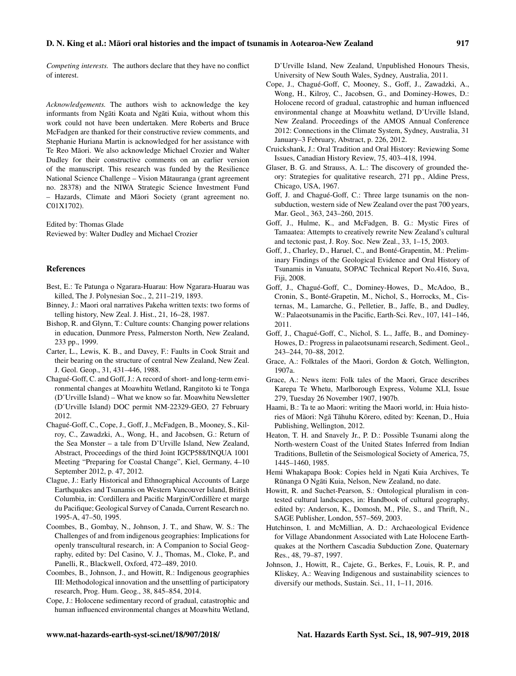*Competing interests.* The authors declare that they have no conflict of interest.

*Acknowledgements.* The authors wish to acknowledge the key informants from Ngati Koata and Ngati Kuia, without whom this work could not have been undertaken. Mere Roberts and Bruce McFadgen are thanked for their constructive review comments, and Stephanie Huriana Martin is acknowledged for her assistance with Te Reo Māori. We also acknowledge Michael Crozier and Walter Dudley for their constructive comments on an earlier version of the manuscript. This research was funded by the Resilience National Science Challenge – Vision Matauranga (grant agreement ¯ no. 28378) and the NIWA Strategic Science Investment Fund – Hazards, Climate and Maori Society (grant agreement no. ¯ C01X1702).

Edited by: Thomas Glade Reviewed by: Walter Dudley and Michael Crozier

## **References**

- Best, E.: Te Patunga o Ngarara-Huarau: How Ngarara-Huarau was killed, The J. Polynesian Soc., 2, 211–219, 1893.
- Binney, J.: Maori oral narratives Pakeha written texts: two forms of telling history, New Zeal. J. Hist., 21, 16–28, 1987.
- Bishop, R. and Glynn, T.: Culture counts: Changing power relations in education, Dunmore Press, Palmerston North, New Zealand, 233 pp., 1999.
- Carter, L., Lewis, K. B., and Davey, F.: Faults in Cook Strait and their bearing on the structure of central New Zealand, New Zeal. J. Geol. Geop., 31, 431–446, 1988.
- Chagué-Goff, C. and Goff, J.: A record of short- and long-term environmental changes at Moawhitu Wetland, Rangitoto ki te Tonga (D'Urville Island) – What we know so far. Moawhitu Newsletter (D'Urville Island) DOC permit NM-22329-GEO, 27 February 2012.
- Chagué-Goff, C., Cope, J., Goff, J., McFadgen, B., Mooney, S., Kilroy, C., Zawadzki, A., Wong, H., and Jacobsen, G.: Return of the Sea Monster – a tale from D'Urville Island, New Zealand, Abstract, Proceedings of the third Joint IGCP588/INQUA 1001 Meeting "Preparing for Coastal Change", Kiel, Germany, 4–10 September 2012, p. 47, 2012.
- Clague, J.: Early Historical and Ethnographical Accounts of Large Earthquakes and Tsunamis on Western Vancouver Island, British Columbia, in: Cordillera and Pacific Margin/Cordillère et marge du Pacifique; Geological Survey of Canada, Current Research no. 1995-A, 47–50, 1995.
- Coombes, B., Gombay, N., Johnson, J. T., and Shaw, W. S.: The Challenges of and from indigenous geographies: Implications for openly transcultural research, in: A Companion to Social Geography, edited by: Del Casino, V. J., Thomas, M., Cloke, P., and Panelli, R., Blackwell, Oxford, 472–489, 2010.
- Coombes, B., Johnson, J., and Howitt, R.: Indigenous geographies III: Methodological innovation and the unsettling of participatory research, Prog. Hum. Geog., 38, 845–854, 2014.
- Cope, J.: Holocene sedimentary record of gradual, catastrophic and human influenced environmental changes at Moawhitu Wetland,

D'Urville Island, New Zealand, Unpublished Honours Thesis, University of New South Wales, Sydney, Australia, 2011.

- Cope, J., Chagué-Goff, C, Mooney, S., Goff, J., Zawadzki, A., Wong, H., Kilroy, C., Jacobsen, G., and Dominey-Howes, D.: Holocene record of gradual, catastrophic and human influenced environmental change at Moawhitu wetland, D'Urville Island, New Zealand. Proceedings of the AMOS Annual Conference 2012: Connections in the Climate System, Sydney, Australia, 31 January–3 February, Abstract, p. 226, 2012.
- Cruickshank, J.: Oral Tradition and Oral History: Reviewing Some Issues, Canadian History Review, 75, 403–418, 1994.
- Glaser, B. G. and Strauss, A. L.: The discovery of grounded theory: Strategies for qualitative research, 271 pp., Aldine Press, Chicago, USA, 1967.
- Goff, J. and Chagué-Goff, C.: Three large tsunamis on the nonsubduction, western side of New Zealand over the past 700 years, Mar. Geol., 363, 243–260, 2015.
- Goff, J., Hulme, K., and McFadgen, B. G.: Mystic Fires of Tamaatea: Attempts to creatively rewrite New Zealand's cultural and tectonic past, J. Roy. Soc. New Zeal., 33, 1–15, 2003.
- Goff, J., Charley, D., Haruel, C., and Bonté-Grapentin, M.: Preliminary Findings of the Geological Evidence and Oral History of Tsunamis in Vanuatu, SOPAC Technical Report No.416, Suva, Fiji, 2008.
- Goff, J., Chagué-Goff, C., Dominey-Howes, D., McAdoo, B., Cronin, S., Bonté-Grapetin, M., Nichol, S., Horrocks, M., Cisternas, M., Lamarche, G., Pelletier, B., Jaffe, B., and Dudley, W.: Palaeotsunamis in the Pacific, Earth-Sci. Rev., 107, 141–146, 2011.
- Goff, J., Chagué-Goff, C., Nichol, S. L., Jaffe, B., and Dominey-Howes, D.: Progress in palaeotsunami research, Sediment. Geol., 243–244, 70–88, 2012.
- Grace, A.: Folktales of the Maori, Gordon & Gotch, Wellington, 1907a.
- Grace, A.: News item: Folk tales of the Maori, Grace describes Karepa Te Whetu, Marlborough Express, Volume XLI, Issue 279, Tuesday 26 November 1907, 1907b.
- Haami, B.: Ta te ao Maori: writing the Maori world, in: Huia histories of Māori: Ngā Tāhuhu Kōrero, edited by: Keenan, D., Huia Publishing, Wellington, 2012.
- Heaton, T. H. and Snavely Jr., P. D.: Possible Tsunami along the North-western Coast of the United States Inferred from Indian Traditions, Bulletin of the Seismological Society of America, 75, 1445–1460, 1985.
- Hemi Whakapapa Book: Copies held in Ngati Kuia Archives, Te Rūnanga O Ngāti Kuia, Nelson, New Zealand, no date.
- Howitt, R. and Suchet-Pearson, S.: Ontological pluralism in contested cultural landscapes, in: Handbook of cultural geography, edited by: Anderson, K., Domosh, M., Pile, S., and Thrift, N., SAGE Publisher, London, 557–569, 2003.
- Hutchinson, I. and McMillian, A. D.: Archaeological Evidence for Village Abandonment Associated with Late Holocene Earthquakes at the Northern Cascadia Subduction Zone, Quaternary Res., 48, 79–87, 1997.
- Johnson, J., Howitt, R., Cajete, G., Berkes, F., Louis, R. P., and Kliskey, A.: Weaving Indigenous and sustainability sciences to diversify our methods, Sustain. Sci., 11, 1–11, 2016.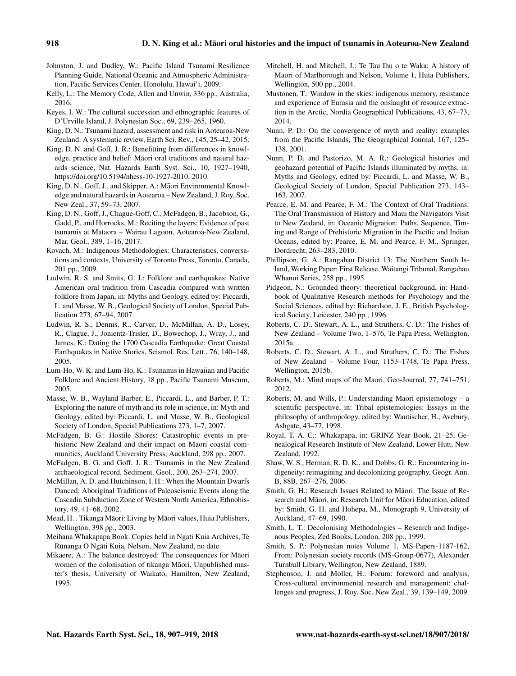- Johnston, J. and Dudley, W.: Pacific Island Tsunami Resilience Planning Guide, National Oceanic and Atmospheric Administration, Pacific Services Center, Honolulu, Hawai'i, 2009.
- Kelly, L.: The Memory Code, Allen and Unwin, 336 pp., Australia, 2016.
- Keyes, I. W.: The cultural succession and ethnographic features of D'Urville Island, J. Polynesian Soc., 69, 239–265, 1960.
- King, D. N.: Tsunami hazard, assessment and risk in Aotearoa-New Zealand: A systematic review, Earth Sci. Rev., 145, 25–42, 2015.
- King, D. N. and Goff, J. R.: Benefitting from differences in knowledge, practice and belief: Māori oral traditions and natural hazards science, Nat. Hazards Earth Syst. Sci., 10, 1927–1940, https://doi.org[/10.5194/nhess-10-1927-2010,](https://doi.org/10.5194/nhess-10-1927-2010) 2010.
- King, D. N., Goff, J., and Skipper, A.: Māori Environmental Knowledge and natural hazards in Aotearoa – New Zealand, J. Roy. Soc. New Zeal., 37, 59–73, 2007.
- King, D. N., Goff, J., Chague-Goff, C., McFadgen, B., Jacobson, G., Gadd, P., and Horrocks, M.: Reciting the layers: Evidence of past tsunamis at Mataora – Wairau Lagoon, Aotearoa-New Zealand, Mar. Geol., 389, 1–16, 2017.
- Kovach, M.: Indigenous Methodologies: Characteristics, conversations and contexts, University of Toronto Press, Toronto, Canada, 201 pp., 2009.
- Ludwin, R. S. and Smits, G. J.: Folklore and earthquakes: Native American oral tradition from Cascadia compared with written folklore from Japan, in: Myths and Geology, edited by: Piccardi, L. and Masse, W. B., Geological Society of London, Special Publication 273, 67–94, 2007.
- Ludwin, R. S., Dennis, R., Carver, D., McMillan, A. D., Losey, R., Clague, J., Jonientz-Trisler, D., Bowechop, J., Wray, J., and James, K.: Dating the 1700 Cascadia Earthquake: Great Coastal Earthquakes in Native Stories, Seismol. Res. Lett., 76, 140–148, 2005.
- Lum-Ho, W. K. and Lum-Ho, K.: Tsunamis in Hawaiian and Pacific Folklore and Ancient History, 18 pp., Pacific Tsunami Museum, 2005.
- Masse, W. B., Wayland Barber, E., Piccardi, L., and Barber, P. T.: Exploring the nature of myth and its role in science, in: Myth and Geology, edited by: Piccardi, L. and Masse, W. B., Geological Society of London, Special Publications 273, 1–7, 2007.
- McFadgen, B. G.: Hostile Shores: Catastrophic events in prehistoric New Zealand and their impact on Maori coastal communities, Auckland University Press, Auckland, 298 pp., 2007.
- McFadgen, B. G. and Goff, J. R.: Tsunamis in the New Zealand archaeological record, Sediment. Geol., 200, 263–274, 2007.
- McMillan, A. D. and Hutchinson, I. H.: When the Mountain Dwarfs Danced: Aboriginal Traditions of Paleoseismic Events along the Cascadia Subduction Zone of Western North America, Ethnohistory, 49, 41–68, 2002.
- Mead, H. . Tikanga Māori: Living by Māori values, Huia Publishers, Wellington, 398 pp., 2003.
- Meihana Whakapapa Book: Copies held in Ngati Kuia Archives, Te Rūnanga O Ngāti Kuia, Nelson, New Zealand, no date.
- Mikaere, A.: The balance destroyed: The consequences for Māori women of the colonisation of tikanga Māori, Unpublished master's thesis, University of Waikato, Hamilton, New Zealand, 1995.
- Mitchell, H. and Mitchell, J.: Te Tau Ihu o te Waka: A history of Maori of Marlborough and Nelson, Volume 1, Huia Publishers, Wellington, 500 pp., 2004.
- Mustonen, T.: Window in the skies: indigenous memory, resistance and experience of Eurasia and the onslaught of resource extraction in the Arctic, Nordia Geographical Publications, 43, 67–73, 2014.
- Nunn, P. D.: On the convergence of myth and reality: examples from the Pacific Islands, The Geographical Journal, 167, 125– 138, 2001.
- Nunn, P. D. and Pastorizo, M. A. R.: Geological histories and geohazard potential of Pacific Islands illuminated by myths, in: Myths and Geology, edited by: Piccardi, L. and Masse, W. B., Geological Society of London, Special Publication 273, 143– 163, 2007.
- Pearce, E. M. and Pearce, F. M.: The Context of Oral Traditions: The Oral Transmission of History and Maui the Navigators Visit to New Zealand, in: Oceanic Migration: Paths, Sequence, Timing and Range of Prehistoric Migration in the Pacific and Indian Oceans, edited by: Pearce, E. M. and Pearce, F. M., Springer, Dordrecht, 263–283, 2010.
- Phillipson, G. A.: Rangahau District 13: The Northern South Island, Working Paper: First Release, Waitangi Tribunal, Rangahau Whanui Series, 258 pp., 1995.
- Pidgeon, N.: Grounded theory: theoretical background, in: Handbook of Qualitative Research methods for Psychology and the Social Sciences, edited by: Richardson, J. E., British Psychological Society, Leicester, 240 pp., 1996.
- Roberts, C. D., Stewart, A. L., and Struthers, C. D.: The Fishes of New Zealand – Volume Two, 1–576, Te Papa Press, Wellington, 2015a.
- Roberts, C. D., Stewart, A. L., and Struthers, C. D.: The Fishes of New Zealand – Volume Four, 1153–1748, Te Papa Press, Wellington, 2015b.
- Roberts, M.: Mind maps of the Maori, Geo-Journal, 77, 741–751, 2012.
- Roberts, M. and Wills, P.: Understanding Maori epistemology a scientific perspective, in: Tribal epistemologies: Essays in the philosophy of anthropology, edited by: Wautischer, H., Avebury, Ashgate, 43–77, 1998.
- Royal, T. A. C.: Whakapapa, in: GRINZ Year Book, 21–25, Genealogical Research Institute of New Zealand, Lower Hutt, New Zealand, 1992.
- Shaw, W. S., Herman, R. D. K., and Dobbs, G. R.: Encountering indigeneity: reimagining and decolonizing geography, Geogr. Ann. B, 88B, 267–276, 2006.
- Smith, G. H.: Research Issues Related to Māori: The Issue of Research and Māori, in: Research Unit for Māori Education, edited by: Smith, G. H. and Hohepa, M., Monograph 9, University of Auckland, 47–69, 1990.
- Smith, L. T.: Decolonising Methodologies Research and Indigenous Peoples, Zed Books, London, 208 pp., 1999.
- Smith, S. P.: Polynesian notes Volume 1, MS-Papers-1187-162, From: Polynesian society records (MS-Group-0677), Alexander Turnbull Library, Wellington, New Zealand, 1889.
- Stephenson, J. and Moller, H.: Forum: foreword and analysis, Cross-cultural environmental research and management: challenges and progress, J. Roy. Soc. New Zeal., 39, 139–149, 2009.